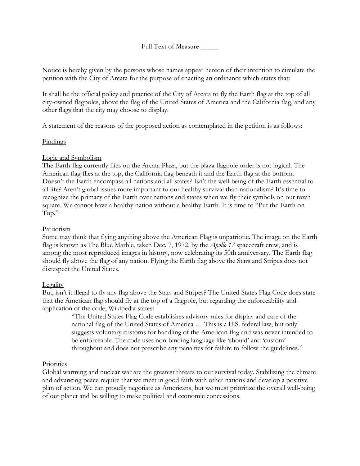Full Text of Measure \_\_\_\_\_

Notice is hereby given by the persons whose names appear hereon of their intention to circulate the petition with the City of Arcata for the purpose of enacting an ordinance which states that:

It shall be the official policy and practice of the City of Arcata to fly the Earth flag at the top of all city-owned flagpoles, above the flag of the United States of America and the California flag, and any other flags that the city may choose to display.

A statement of the reasons of the proposed action as contemplated in the petition is as follows:

# Findings

# Logic and Symbolism

The Earth flag currently flies on the Arcata Plaza, but the plaza flagpole order is not logical. The American flag flies at the top, the California flag beneath it and the Earth flag at the bottom. Doesn't the Earth encompass all nations and all states? Isn't the well-being of the Earth essential to all life? Aren't global issues more important to our healthy survival than nationalism? It's time to recognize the primacy of the Earth over nations and states when we fly their symbols on our town square. We cannot have a healthy nation without a healthy Earth. It is time to "Put the Earth on Top."

# Patriotism

Some may think that flying anything above the American Flag is unpatriotic. The image on the Earth flag is known as The Blue Marble, taken Dec. 7, 1972, by the *Apollo 17* spacecraft crew, and is among the most reproduced images in history, now celebrating its 50th anniversary. The Earth flag should fly above the flag of any nation. Flying the Earth flag above the Stars and Stripes does not disrespect the United States.

## **Legality**

But, isn't it illegal to fly any flag above the Stars and Stripes? The United States Flag Code does state that the American flag should fly at the top of a flagpole, but regarding the enforceability and application of the code, Wikipedia states:

> "The United States Flag Code establishes advisory rules for display and care of the [national flag](https://en.wikipedia.org/wiki/Flag_of_the_United_States) of the [United States of America](https://en.wikipedia.org/wiki/United_States) … This is a U.S. federal law, but only suggests voluntary customs for handling of the American flag and was never intended to be enforceable. The code uses non-binding language like 'should' and 'custom' throughout and does not prescribe any penalties for failure to follow the guidelines."

## **Priorities**

Global warming and nuclear war are the greatest threats to our survival today. Stabilizing the climate and advancing peace require that we meet in good faith with other nations and develop a positive plan of action. We can proudly negotiate as Americans, but we must prioritize the overall well-being of our planet and be willing to make political and economic concessions.